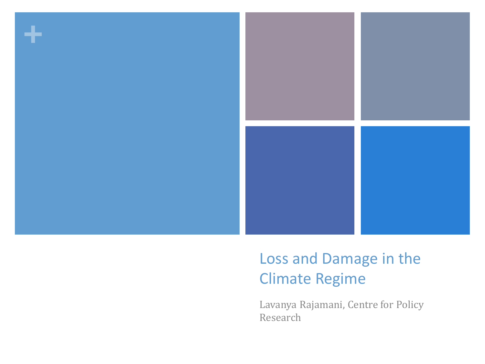

#### Loss and Damage in the Climate Regime

Lavanya Rajamani, Centre for Policy Research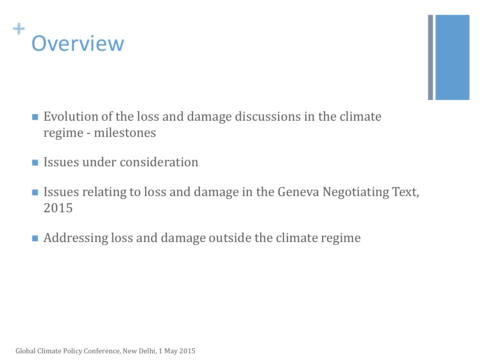



- $\blacksquare$  Evolution of the loss and damage discussions in the climate regime - milestones
- **Issues under consideration**
- Issues relating to loss and damage in the Geneva Negotiating Text, 2015
- Addressing loss and damage outside the climate regime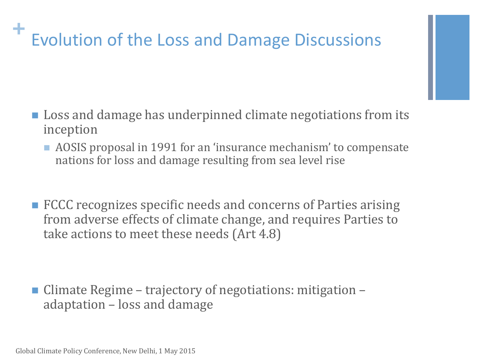## **+** Evolution of the Loss and Damage Discussions

- **Loss and damage has underpinned climate negotiations from its** inception
	- AOSIS proposal in 1991 for an 'insurance mechanism' to compensate nations for loss and damage resulting from sea level rise
- **FCCC** recognizes specific needs and concerns of Parties arising from adverse effects of climate change, and requires Parties to take actions to meet these needs (Art 4.8)

 Climate Regime – trajectory of negotiations: mitigation – adaptation – loss and damage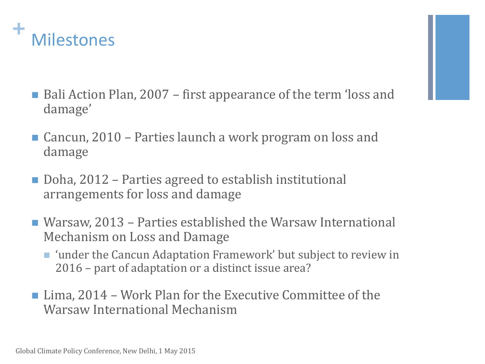

- Bali Action Plan, 2007 first appearance of the term 'loss and damage'
- Cancun, 2010 Parties launch a work program on loss and damage
- Doha, 2012 Parties agreed to establish institutional arrangements for loss and damage
- Warsaw, 2013 Parties established the Warsaw International Mechanism on Loss and Damage
	- 'under the Cancun Adaptation Framework' but subject to review in 2016 – part of adaptation or a distinct issue area?
- Lima, 2014 Work Plan for the Executive Committee of the Warsaw International Mechanism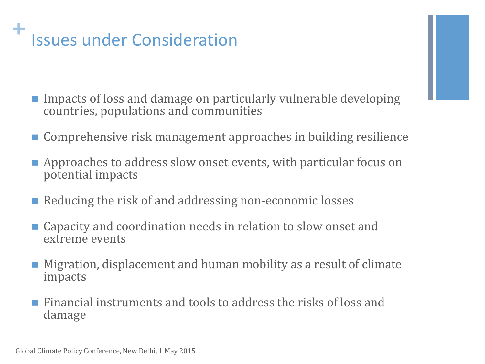# **+** Issues under Consideration

- **Impacts of loss and damage on particularly vulnerable developing** countries, populations and communities
- Comprehensive risk management approaches in building resilience
- **E** Approaches to address slow onset events, with particular focus on potential impacts
- Reducing the risk of and addressing non-economic losses
- Capacity and coordination needs in relation to slow onset and extreme events
- Migration, displacement and human mobility as a result of climate impacts
- $\blacksquare$  Financial instruments and tools to address the risks of loss and damage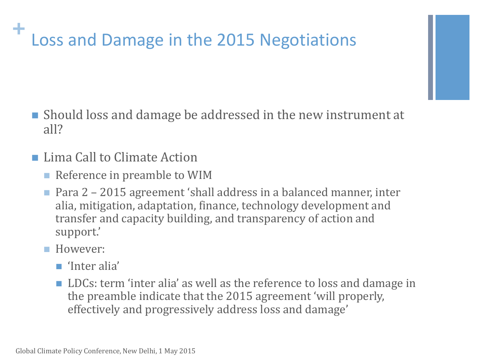#### **+** Loss and Damage in the 2015 Negotiations

- Should loss and damage be addressed in the new instrument at all?
- **Lima Call to Climate Action** 
	- Reference in preamble to WIM
	- Para 2 2015 agreement 'shall address in a balanced manner, inter alia, mitigation, adaptation, finance, technology development and transfer and capacity building, and transparency of action and support.'
	- **However:** 
		- 'Inter alia'
		- LDCs: term 'inter alia' as well as the reference to loss and damage in the preamble indicate that the 2015 agreement 'will properly, effectively and progressively address loss and damage'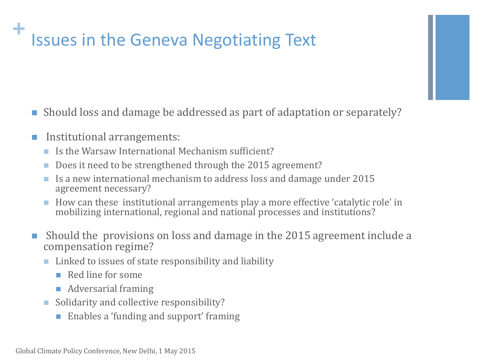### **Issues in the Geneva Negotiating Text**

- Should loss and damage be addressed as part of adaptation or separately?
- Institutional arrangements:
	- Is the Warsaw International Mechanism sufficient?
	- Does it need to be strengthened through the 2015 agreement?
	- Is a new international mechanism to address loss and damage under 2015 agreement necessary?
	- How can these institutional arrangements play a more effective 'catalytic role' in mobilizing international, regional and national processes and institutions?
- Should the provisions on loss and damage in the 2015 agreement include a compensation regime?
	- $\blacksquare$  Linked to issues of state responsibility and liability
		- $\blacksquare$  Red line for some
		- **Adversarial framing**
	- Solidarity and collective responsibility?
		- Enables a 'funding and support' framing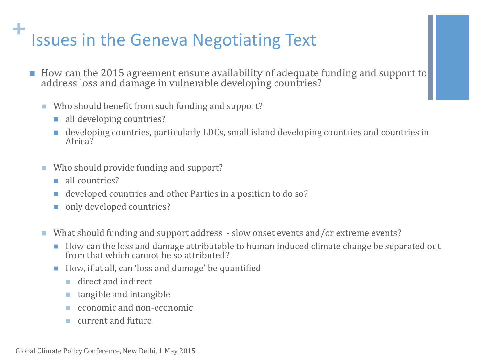#### **Issues in the Geneva Negotiating Text**

- How can the 2015 agreement ensure availability of adequate funding and support to address loss and damage in vulnerable developing countries?
	- Who should benefit from such funding and support?
		- all developing countries?
		- developing countries, particularly LDCs, small island developing countries and countries in Africa?
	- Who should provide funding and support?
		- all countries?
		- developed countries and other Parties in a position to do so?
		- only developed countries?
	- What should funding and support address slow onset events and/or extreme events?
		- How can the loss and damage attributable to human induced climate change be separated out from that which cannot be so attributed?
		- How, if at all, can 'loss and damage' be quantified
			- direct and indirect
			- **tangible and intangible**
			- economic and non-economic
			- current and future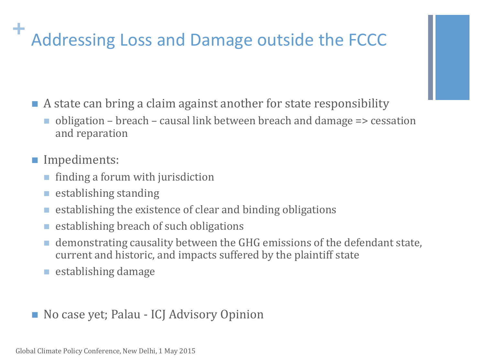## **+** Addressing Loss and Damage outside the FCCC

- A state can bring a claim against another for state responsibility
	- obligation breach causal link between breach and damage => cessation and reparation
- Impediments:
	- finding a forum with jurisdiction
	- $\blacksquare$  establishing standing
	- establishing the existence of clear and binding obligations
	- establishing breach of such obligations
	- demonstrating causality between the GHG emissions of the defendant state, current and historic, and impacts suffered by the plaintiff state
	- **E** establishing damage
- No case yet; Palau ICJ Advisory Opinion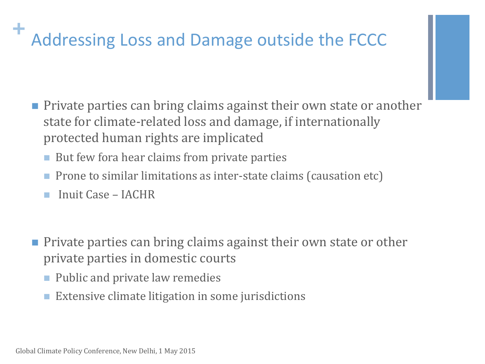## **+** Addressing Loss and Damage outside the FCCC

- **Private parties can bring claims against their own state or another** state for climate-related loss and damage, if internationally protected human rights are implicated
	- But few fora hear claims from private parties
	- **Prone to similar limitations as inter-state claims (causation etc)**
	- Inuit Case IACHR
- **Private parties can bring claims against their own state or other** private parties in domestic courts
	- Public and private law remedies
	- **Extensive climate litigation in some jurisdictions**